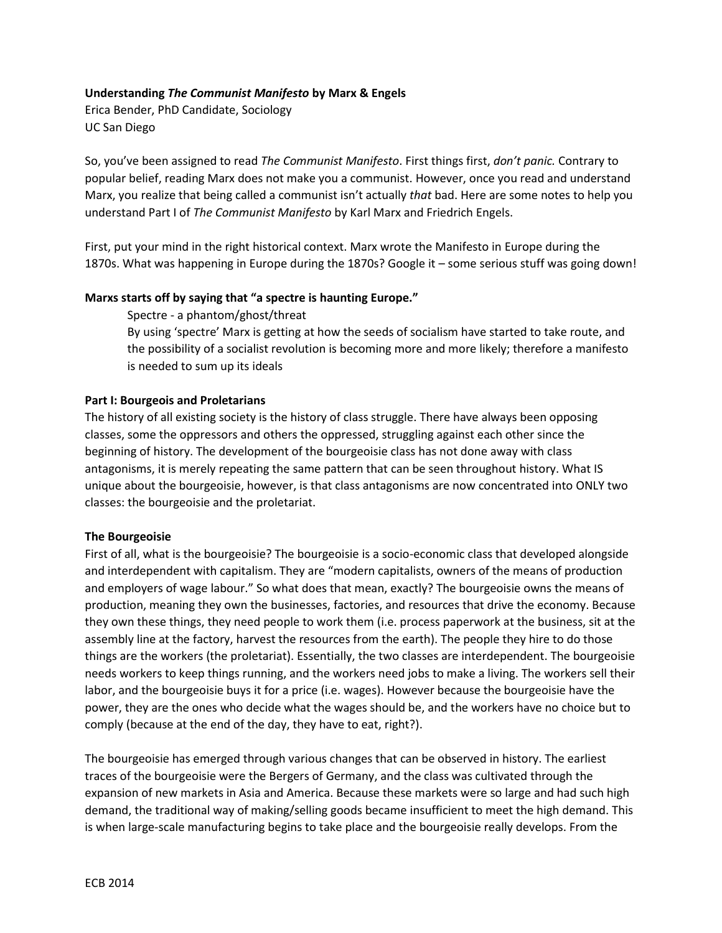## **Understanding** *The Communist Manifesto* **by Marx & Engels**

Erica Bender, PhD Candidate, Sociology UC San Diego

So, you've been assigned to read *The Communist Manifesto*. First things first, *don't panic.* Contrary to popular belief, reading Marx does not make you a communist. However, once you read and understand Marx, you realize that being called a communist isn't actually *that* bad. Here are some notes to help you understand Part I of *The Communist Manifesto* by Karl Marx and Friedrich Engels.

First, put your mind in the right historical context. Marx wrote the Manifesto in Europe during the 1870s. What was happening in Europe during the 1870s? Google it – some serious stuff was going down!

#### **Marxs starts off by saying that "a spectre is haunting Europe."**

Spectre - a phantom/ghost/threat

By using 'spectre' Marx is getting at how the seeds of socialism have started to take route, and the possibility of a socialist revolution is becoming more and more likely; therefore a manifesto is needed to sum up its ideals

#### **Part I: Bourgeois and Proletarians**

The history of all existing society is the history of class struggle. There have always been opposing classes, some the oppressors and others the oppressed, struggling against each other since the beginning of history. The development of the bourgeoisie class has not done away with class antagonisms, it is merely repeating the same pattern that can be seen throughout history. What IS unique about the bourgeoisie, however, is that class antagonisms are now concentrated into ONLY two classes: the bourgeoisie and the proletariat.

#### **The Bourgeoisie**

First of all, what is the bourgeoisie? The bourgeoisie is a socio-economic class that developed alongside and interdependent with capitalism. They are "modern capitalists, owners of the means of production and employers of wage labour." So what does that mean, exactly? The bourgeoisie owns the means of production, meaning they own the businesses, factories, and resources that drive the economy. Because they own these things, they need people to work them (i.e. process paperwork at the business, sit at the assembly line at the factory, harvest the resources from the earth). The people they hire to do those things are the workers (the proletariat). Essentially, the two classes are interdependent. The bourgeoisie needs workers to keep things running, and the workers need jobs to make a living. The workers sell their labor, and the bourgeoisie buys it for a price (i.e. wages). However because the bourgeoisie have the power, they are the ones who decide what the wages should be, and the workers have no choice but to comply (because at the end of the day, they have to eat, right?).

The bourgeoisie has emerged through various changes that can be observed in history. The earliest traces of the bourgeoisie were the Bergers of Germany, and the class was cultivated through the expansion of new markets in Asia and America. Because these markets were so large and had such high demand, the traditional way of making/selling goods became insufficient to meet the high demand. This is when large-scale manufacturing begins to take place and the bourgeoisie really develops. From the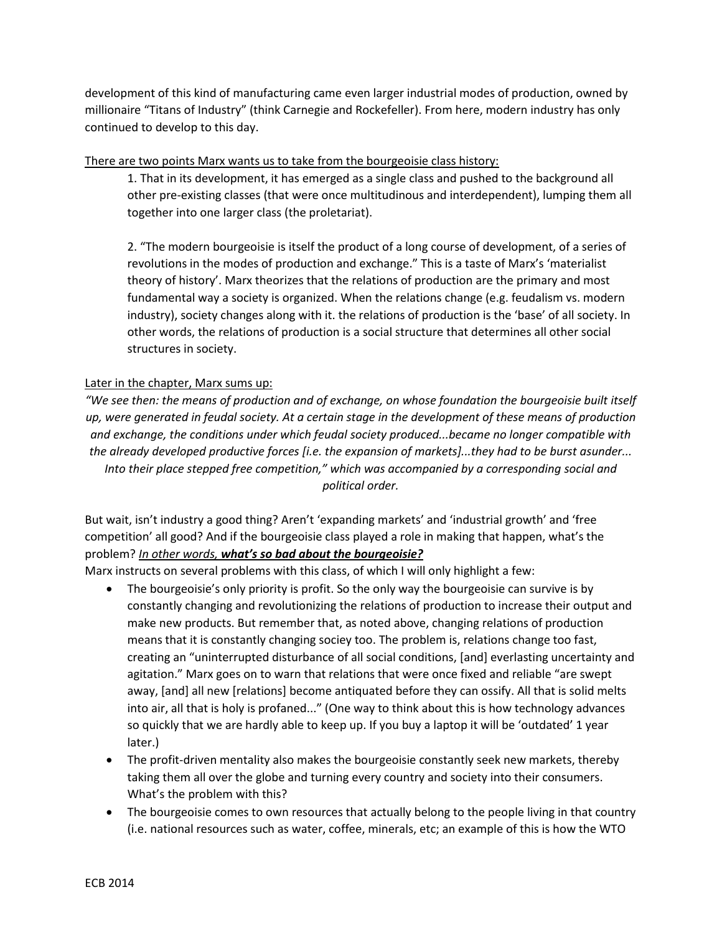development of this kind of manufacturing came even larger industrial modes of production, owned by millionaire "Titans of Industry" (think Carnegie and Rockefeller). From here, modern industry has only continued to develop to this day.

## There are two points Marx wants us to take from the bourgeoisie class history:

1. That in its development, it has emerged as a single class and pushed to the background all other pre-existing classes (that were once multitudinous and interdependent), lumping them all together into one larger class (the proletariat).

2. "The modern bourgeoisie is itself the product of a long course of development, of a series of revolutions in the modes of production and exchange." This is a taste of Marx's 'materialist theory of history'. Marx theorizes that the relations of production are the primary and most fundamental way a society is organized. When the relations change (e.g. feudalism vs. modern industry), society changes along with it. the relations of production is the 'base' of all society. In other words, the relations of production is a social structure that determines all other social structures in society.

# Later in the chapter, Marx sums up:

*"We see then: the means of production and of exchange, on whose foundation the bourgeoisie built itself up, were generated in feudal society. At a certain stage in the development of these means of production and exchange, the conditions under which feudal society produced...became no longer compatible with the already developed productive forces [i.e. the expansion of markets]...they had to be burst asunder... Into their place stepped free competition," which was accompanied by a corresponding social and political order.*

But wait, isn't industry a good thing? Aren't 'expanding markets' and 'industrial growth' and 'free competition' all good? And if the bourgeoisie class played a role in making that happen, what's the problem? *In other words, what's so bad about the bourgeoisie?*

Marx instructs on several problems with this class, of which I will only highlight a few:

- The bourgeoisie's only priority is profit. So the only way the bourgeoisie can survive is by constantly changing and revolutionizing the relations of production to increase their output and make new products. But remember that, as noted above, changing relations of production means that it is constantly changing sociey too. The problem is, relations change too fast, creating an "uninterrupted disturbance of all social conditions, [and] everlasting uncertainty and agitation." Marx goes on to warn that relations that were once fixed and reliable "are swept away, [and] all new [relations] become antiquated before they can ossify. All that is solid melts into air, all that is holy is profaned..." (One way to think about this is how technology advances so quickly that we are hardly able to keep up. If you buy a laptop it will be 'outdated' 1 year later.)
- The profit-driven mentality also makes the bourgeoisie constantly seek new markets, thereby taking them all over the globe and turning every country and society into their consumers. What's the problem with this?
- The bourgeoisie comes to own resources that actually belong to the people living in that country (i.e. national resources such as water, coffee, minerals, etc; an example of this is how the WTO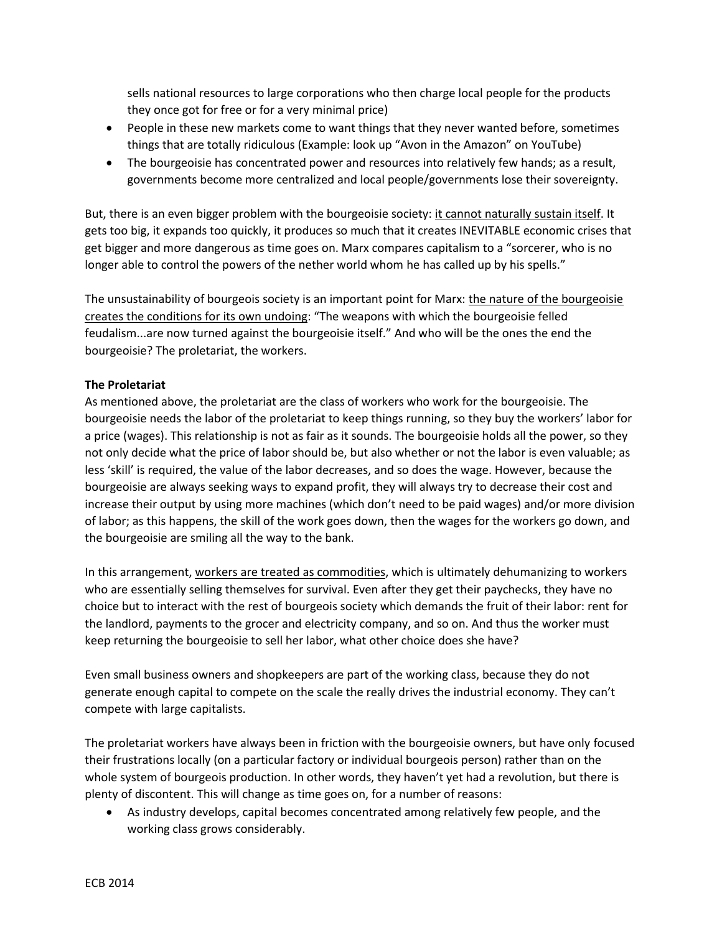sells national resources to large corporations who then charge local people for the products they once got for free or for a very minimal price)

- People in these new markets come to want things that they never wanted before, sometimes things that are totally ridiculous (Example: look up "Avon in the Amazon" on YouTube)
- The bourgeoisie has concentrated power and resources into relatively few hands; as a result, governments become more centralized and local people/governments lose their sovereignty.

But, there is an even bigger problem with the bourgeoisie society: it cannot naturally sustain itself. It gets too big, it expands too quickly, it produces so much that it creates INEVITABLE economic crises that get bigger and more dangerous as time goes on. Marx compares capitalism to a "sorcerer, who is no longer able to control the powers of the nether world whom he has called up by his spells."

The unsustainability of bourgeois society is an important point for Marx: the nature of the bourgeoisie creates the conditions for its own undoing: "The weapons with which the bourgeoisie felled feudalism...are now turned against the bourgeoisie itself." And who will be the ones the end the bourgeoisie? The proletariat, the workers.

# **The Proletariat**

As mentioned above, the proletariat are the class of workers who work for the bourgeoisie. The bourgeoisie needs the labor of the proletariat to keep things running, so they buy the workers' labor for a price (wages). This relationship is not as fair as it sounds. The bourgeoisie holds all the power, so they not only decide what the price of labor should be, but also whether or not the labor is even valuable; as less 'skill' is required, the value of the labor decreases, and so does the wage. However, because the bourgeoisie are always seeking ways to expand profit, they will always try to decrease their cost and increase their output by using more machines (which don't need to be paid wages) and/or more division of labor; as this happens, the skill of the work goes down, then the wages for the workers go down, and the bourgeoisie are smiling all the way to the bank.

In this arrangement, workers are treated as commodities, which is ultimately dehumanizing to workers who are essentially selling themselves for survival. Even after they get their paychecks, they have no choice but to interact with the rest of bourgeois society which demands the fruit of their labor: rent for the landlord, payments to the grocer and electricity company, and so on. And thus the worker must keep returning the bourgeoisie to sell her labor, what other choice does she have?

Even small business owners and shopkeepers are part of the working class, because they do not generate enough capital to compete on the scale the really drives the industrial economy. They can't compete with large capitalists.

The proletariat workers have always been in friction with the bourgeoisie owners, but have only focused their frustrations locally (on a particular factory or individual bourgeois person) rather than on the whole system of bourgeois production. In other words, they haven't yet had a revolution, but there is plenty of discontent. This will change as time goes on, for a number of reasons:

• As industry develops, capital becomes concentrated among relatively few people, and the working class grows considerably.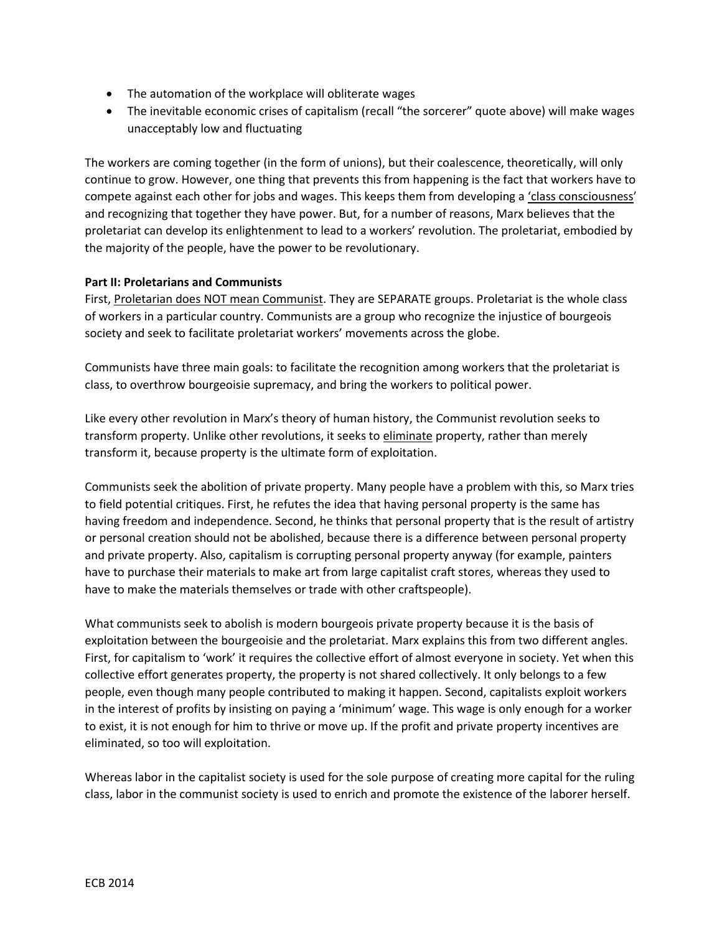- The automation of the workplace will obliterate wages
- The inevitable economic crises of capitalism (recall "the sorcerer" quote above) will make wages unacceptably low and fluctuating

The workers are coming together (in the form of unions), but their coalescence, theoretically, will only continue to grow. However, one thing that prevents this from happening is the fact that workers have to compete against each other for jobs and wages. This keeps them from developing a 'class consciousness' and recognizing that together they have power. But, for a number of reasons, Marx believes that the proletariat can develop its enlightenment to lead to a workers' revolution. The proletariat, embodied by the majority of the people, have the power to be revolutionary.

## **Part II: Proletarians and Communists**

First, Proletarian does NOT mean Communist. They are SEPARATE groups. Proletariat is the whole class of workers in a particular country. Communists are a group who recognize the injustice of bourgeois society and seek to facilitate proletariat workers' movements across the globe.

Communists have three main goals: to facilitate the recognition among workers that the proletariat is class, to overthrow bourgeoisie supremacy, and bring the workers to political power.

Like every other revolution in Marx's theory of human history, the Communist revolution seeks to transform property. Unlike other revolutions, it seeks to eliminate property, rather than merely transform it, because property is the ultimate form of exploitation.

Communists seek the abolition of private property. Many people have a problem with this, so Marx tries to field potential critiques. First, he refutes the idea that having personal property is the same has having freedom and independence. Second, he thinks that personal property that is the result of artistry or personal creation should not be abolished, because there is a difference between personal property and private property. Also, capitalism is corrupting personal property anyway (for example, painters have to purchase their materials to make art from large capitalist craft stores, whereas they used to have to make the materials themselves or trade with other craftspeople).

What communists seek to abolish is modern bourgeois private property because it is the basis of exploitation between the bourgeoisie and the proletariat. Marx explains this from two different angles. First, for capitalism to 'work' it requires the collective effort of almost everyone in society. Yet when this collective effort generates property, the property is not shared collectively. It only belongs to a few people, even though many people contributed to making it happen. Second, capitalists exploit workers in the interest of profits by insisting on paying a 'minimum' wage. This wage is only enough for a worker to exist, it is not enough for him to thrive or move up. If the profit and private property incentives are eliminated, so too will exploitation.

Whereas labor in the capitalist society is used for the sole purpose of creating more capital for the ruling class, labor in the communist society is used to enrich and promote the existence of the laborer herself.